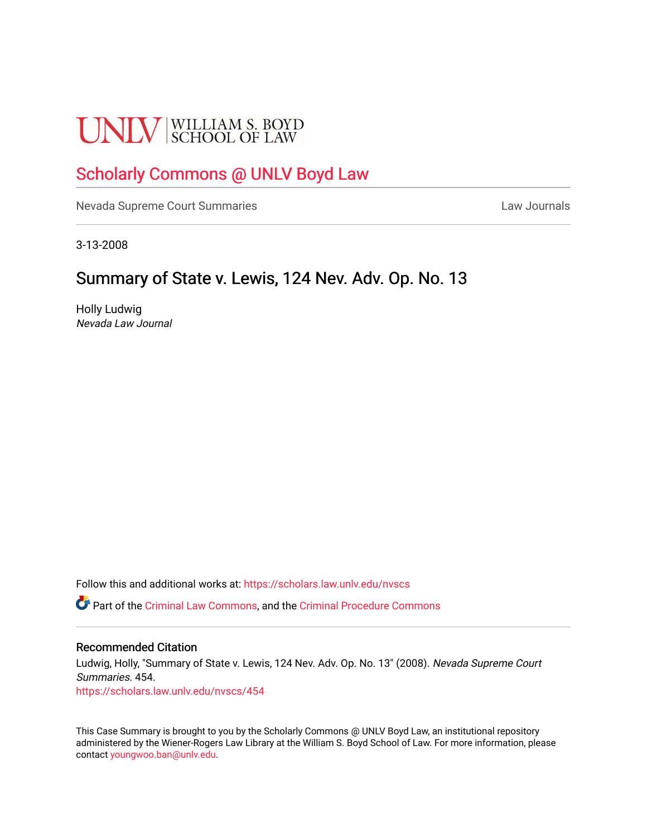# **UNLV** SCHOOL OF LAW

# [Scholarly Commons @ UNLV Boyd Law](https://scholars.law.unlv.edu/)

[Nevada Supreme Court Summaries](https://scholars.law.unlv.edu/nvscs) **Law Journals** Law Journals

3-13-2008

## Summary of State v. Lewis, 124 Nev. Adv. Op. No. 13

Holly Ludwig Nevada Law Journal

Follow this and additional works at: [https://scholars.law.unlv.edu/nvscs](https://scholars.law.unlv.edu/nvscs?utm_source=scholars.law.unlv.edu%2Fnvscs%2F454&utm_medium=PDF&utm_campaign=PDFCoverPages)

Part of the [Criminal Law Commons,](http://network.bepress.com/hgg/discipline/912?utm_source=scholars.law.unlv.edu%2Fnvscs%2F454&utm_medium=PDF&utm_campaign=PDFCoverPages) and the [Criminal Procedure Commons](http://network.bepress.com/hgg/discipline/1073?utm_source=scholars.law.unlv.edu%2Fnvscs%2F454&utm_medium=PDF&utm_campaign=PDFCoverPages)

#### Recommended Citation

Ludwig, Holly, "Summary of State v. Lewis, 124 Nev. Adv. Op. No. 13" (2008). Nevada Supreme Court Summaries. 454. [https://scholars.law.unlv.edu/nvscs/454](https://scholars.law.unlv.edu/nvscs/454?utm_source=scholars.law.unlv.edu%2Fnvscs%2F454&utm_medium=PDF&utm_campaign=PDFCoverPages)

This Case Summary is brought to you by the Scholarly Commons @ UNLV Boyd Law, an institutional repository administered by the Wiener-Rogers Law Library at the William S. Boyd School of Law. For more information, please contact [youngwoo.ban@unlv.edu](mailto:youngwoo.ban@unlv.edu).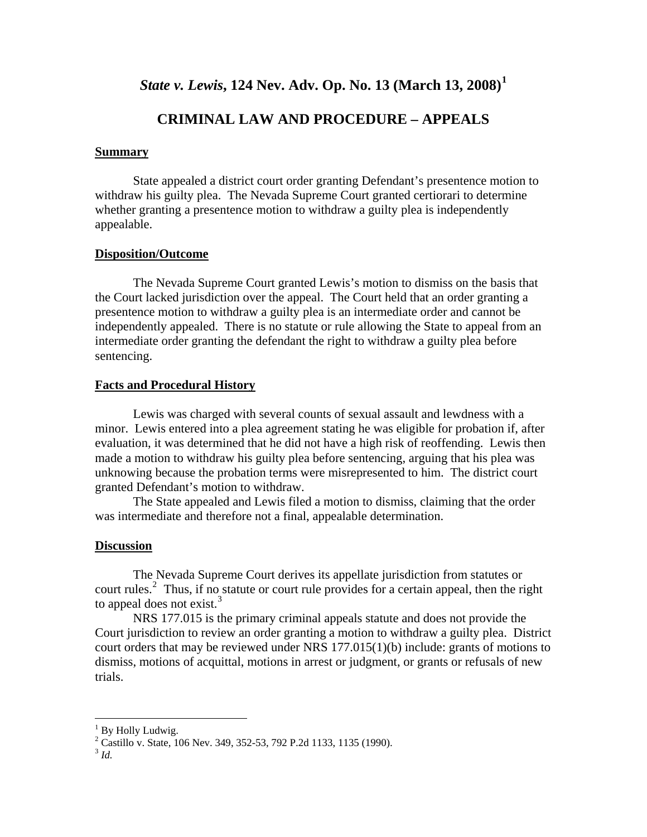## *State v. Lewis***, 124 Nev. Adv. Op. No. 13 (March 13, 2008)[1](#page-1-0)**

## **CRIMINAL LAW AND PROCEDURE – APPEALS**

#### **Summary**

State appealed a district court order granting Defendant's presentence motion to withdraw his guilty plea. The Nevada Supreme Court granted certiorari to determine whether granting a presentence motion to withdraw a guilty plea is independently appealable.

#### **Disposition/Outcome**

 The Nevada Supreme Court granted Lewis's motion to dismiss on the basis that the Court lacked jurisdiction over the appeal. The Court held that an order granting a presentence motion to withdraw a guilty plea is an intermediate order and cannot be independently appealed. There is no statute or rule allowing the State to appeal from an intermediate order granting the defendant the right to withdraw a guilty plea before sentencing.

#### **Facts and Procedural History**

 Lewis was charged with several counts of sexual assault and lewdness with a minor. Lewis entered into a plea agreement stating he was eligible for probation if, after evaluation, it was determined that he did not have a high risk of reoffending. Lewis then made a motion to withdraw his guilty plea before sentencing, arguing that his plea was unknowing because the probation terms were misrepresented to him. The district court granted Defendant's motion to withdraw.

 The State appealed and Lewis filed a motion to dismiss, claiming that the order was intermediate and therefore not a final, appealable determination.

#### **Discussion**

 The Nevada Supreme Court derives its appellate jurisdiction from statutes or court rules.<sup>[2](#page-1-1)</sup> Thus, if no statute or court rule provides for a certain appeal, then the right to appeal does not exist. $3$ 

 NRS 177.015 is the primary criminal appeals statute and does not provide the Court jurisdiction to review an order granting a motion to withdraw a guilty plea. District court orders that may be reviewed under NRS 177.015(1)(b) include: grants of motions to dismiss, motions of acquittal, motions in arrest or judgment, or grants or refusals of new trials.

1

<span id="page-1-0"></span><sup>&</sup>lt;sup>1</sup> By Holly Ludwig.

<sup>&</sup>lt;sup>2</sup> Castillo v. State, 106 Nev. 349, 352-53, 792 P.2d 1133, 1135 (1990).

<span id="page-1-2"></span><span id="page-1-1"></span><sup>3</sup> *Id.*